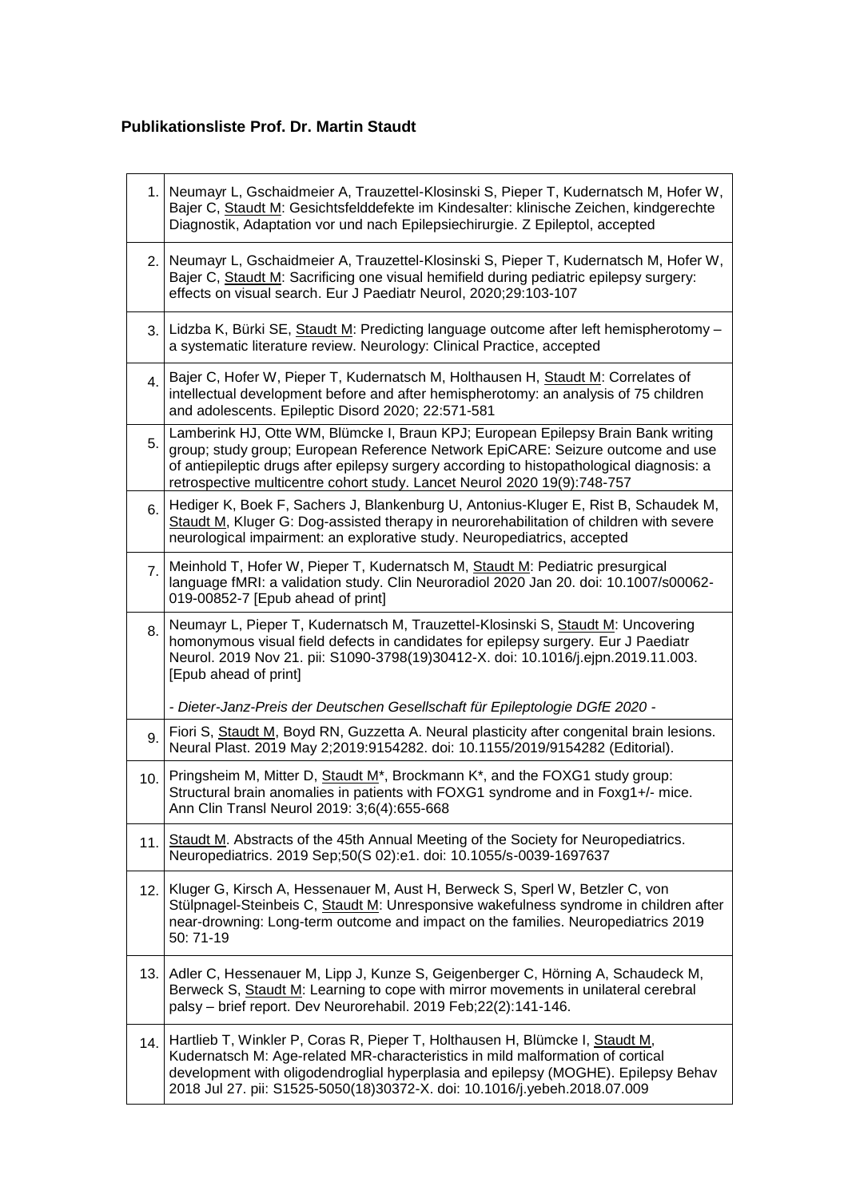## **Publikationsliste Prof. Dr. Martin Staudt**

|                  | 1. Neumayr L, Gschaidmeier A, Trauzettel-Klosinski S, Pieper T, Kudernatsch M, Hofer W,<br>Bajer C, Staudt M: Gesichtsfelddefekte im Kindesalter: klinische Zeichen, kindgerechte<br>Diagnostik, Adaptation vor und nach Epilepsiechirurgie. Z Epileptol, accepted                                                                            |
|------------------|-----------------------------------------------------------------------------------------------------------------------------------------------------------------------------------------------------------------------------------------------------------------------------------------------------------------------------------------------|
|                  | 2. Neumayr L, Gschaidmeier A, Trauzettel-Klosinski S, Pieper T, Kudernatsch M, Hofer W,<br>Bajer C, Staudt M: Sacrificing one visual hemifield during pediatric epilepsy surgery:<br>effects on visual search. Eur J Paediatr Neurol, 2020;29:103-107                                                                                         |
|                  | 3. Lidzba K, Bürki SE, Staudt M: Predicting language outcome after left hemispherotomy -<br>a systematic literature review. Neurology: Clinical Practice, accepted                                                                                                                                                                            |
| 4.               | Bajer C, Hofer W, Pieper T, Kudernatsch M, Holthausen H, Staudt M: Correlates of<br>intellectual development before and after hemispherotomy: an analysis of 75 children<br>and adolescents. Epileptic Disord 2020; 22:571-581                                                                                                                |
| 5.               | Lamberink HJ, Otte WM, Blümcke I, Braun KPJ; European Epilepsy Brain Bank writing<br>group; study group; European Reference Network EpiCARE: Seizure outcome and use<br>of antiepileptic drugs after epilepsy surgery according to histopathological diagnosis: a<br>retrospective multicentre cohort study. Lancet Neurol 2020 19(9):748-757 |
| 6.               | Hediger K, Boek F, Sachers J, Blankenburg U, Antonius-Kluger E, Rist B, Schaudek M,<br>Staudt M, Kluger G: Dog-assisted therapy in neurorehabilitation of children with severe<br>neurological impairment: an explorative study. Neuropediatrics, accepted                                                                                    |
| $\overline{7}$ . | Meinhold T, Hofer W, Pieper T, Kudernatsch M, Staudt M: Pediatric presurgical<br>language fMRI: a validation study. Clin Neuroradiol 2020 Jan 20. doi: 10.1007/s00062-<br>019-00852-7 [Epub ahead of print]                                                                                                                                   |
| 8.               | Neumayr L, Pieper T, Kudernatsch M, Trauzettel-Klosinski S, Staudt M: Uncovering<br>homonymous visual field defects in candidates for epilepsy surgery. Eur J Paediatr<br>Neurol. 2019 Nov 21. pii: S1090-3798(19)30412-X. doi: 10.1016/j.ejpn.2019.11.003.<br>[Epub ahead of print]                                                          |
|                  | - Dieter-Janz-Preis der Deutschen Gesellschaft für Epileptologie DGfE 2020 -                                                                                                                                                                                                                                                                  |
| 9.               | Fiori S, Staudt M, Boyd RN, Guzzetta A. Neural plasticity after congenital brain lesions.<br>Neural Plast. 2019 May 2;2019:9154282. doi: 10.1155/2019/9154282 (Editorial).                                                                                                                                                                    |
| 10.              | Pringsheim M, Mitter D, Staudt M <sup>*</sup> , Brockmann K <sup>*</sup> , and the FOXG1 study group:<br>Structural brain anomalies in patients with FOXG1 syndrome and in Foxg1+/- mice.<br>Ann Clin Transl Neurol 2019: 3;6(4):655-668                                                                                                      |
| 11.1             | Staudt M. Abstracts of the 45th Annual Meeting of the Society for Neuropediatrics.<br>Neuropediatrics. 2019 Sep;50(S 02):e1. doi: 10.1055/s-0039-1697637                                                                                                                                                                                      |
|                  | 12. Kluger G, Kirsch A, Hessenauer M, Aust H, Berweck S, Sperl W, Betzler C, von<br>Stülpnagel-Steinbeis C, Staudt M: Unresponsive wakefulness syndrome in children after<br>near-drowning: Long-term outcome and impact on the families. Neuropediatrics 2019<br>50:71-19                                                                    |
|                  | 13. Adler C, Hessenauer M, Lipp J, Kunze S, Geigenberger C, Hörning A, Schaudeck M,<br>Berweck S, Staudt M: Learning to cope with mirror movements in unilateral cerebral<br>palsy - brief report. Dev Neurorehabil. 2019 Feb; 22(2): 141-146.                                                                                                |
| 14.              | Hartlieb T, Winkler P, Coras R, Pieper T, Holthausen H, Blümcke I, Staudt M,<br>Kudernatsch M: Age-related MR-characteristics in mild malformation of cortical<br>development with oligodendroglial hyperplasia and epilepsy (MOGHE). Epilepsy Behav<br>2018 Jul 27. pii: S1525-5050(18)30372-X. doi: 10.1016/j.yebeh.2018.07.009             |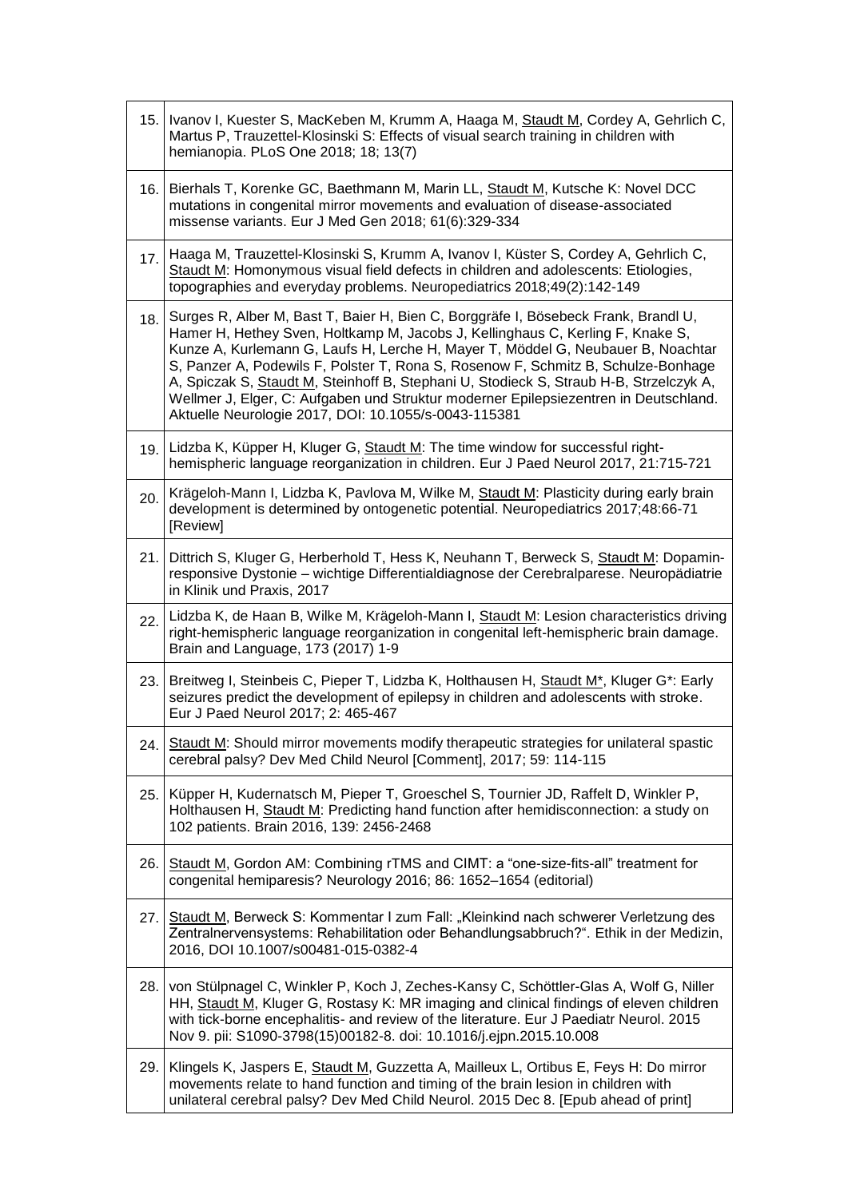| 15.  | Ivanov I, Kuester S, MacKeben M, Krumm A, Haaga M, Staudt M, Cordey A, Gehrlich C,<br>Martus P, Trauzettel-Klosinski S: Effects of visual search training in children with<br>hemianopia. PLoS One 2018; 18; 13(7)                                                                                                                                                                                                                                                                                                                                                                      |
|------|-----------------------------------------------------------------------------------------------------------------------------------------------------------------------------------------------------------------------------------------------------------------------------------------------------------------------------------------------------------------------------------------------------------------------------------------------------------------------------------------------------------------------------------------------------------------------------------------|
|      | 16. Bierhals T, Korenke GC, Baethmann M, Marin LL, Staudt M, Kutsche K: Novel DCC<br>mutations in congenital mirror movements and evaluation of disease-associated<br>missense variants. Eur J Med Gen 2018; 61(6):329-334                                                                                                                                                                                                                                                                                                                                                              |
| 17.  | Haaga M, Trauzettel-Klosinski S, Krumm A, Ivanov I, Küster S, Cordey A, Gehrlich C,<br>Staudt M: Homonymous visual field defects in children and adolescents: Etiologies,<br>topographies and everyday problems. Neuropediatrics 2018;49(2):142-149                                                                                                                                                                                                                                                                                                                                     |
| 18.  | Surges R, Alber M, Bast T, Baier H, Bien C, Borggräfe I, Bösebeck Frank, Brandl U,<br>Hamer H, Hethey Sven, Holtkamp M, Jacobs J, Kellinghaus C, Kerling F, Knake S,<br>Kunze A, Kurlemann G, Laufs H, Lerche H, Mayer T, Möddel G, Neubauer B, Noachtar<br>S, Panzer A, Podewils F, Polster T, Rona S, Rosenow F, Schmitz B, Schulze-Bonhage<br>A, Spiczak S, Staudt M, Steinhoff B, Stephani U, Stodieck S, Straub H-B, Strzelczyk A,<br>Wellmer J, Elger, C: Aufgaben und Struktur moderner Epilepsiezentren in Deutschland.<br>Aktuelle Neurologie 2017, DOI: 10.1055/s-0043-115381 |
|      | 19. Lidzba K, Küpper H, Kluger G, Staudt M: The time window for successful right-<br>hemispheric language reorganization in children. Eur J Paed Neurol 2017, 21:715-721                                                                                                                                                                                                                                                                                                                                                                                                                |
| 20.  | Krägeloh-Mann I, Lidzba K, Pavlova M, Wilke M, Staudt M: Plasticity during early brain<br>development is determined by ontogenetic potential. Neuropediatrics 2017;48:66-71<br>[Review]                                                                                                                                                                                                                                                                                                                                                                                                 |
| 21.  | Dittrich S, Kluger G, Herberhold T, Hess K, Neuhann T, Berweck S, Staudt M: Dopamin-<br>responsive Dystonie - wichtige Differentialdiagnose der Cerebralparese. Neuropädiatrie<br>in Klinik und Praxis, 2017                                                                                                                                                                                                                                                                                                                                                                            |
| 22.  | Lidzba K, de Haan B, Wilke M, Krägeloh-Mann I, Staudt M: Lesion characteristics driving<br>right-hemispheric language reorganization in congenital left-hemispheric brain damage.<br>Brain and Language, 173 (2017) 1-9                                                                                                                                                                                                                                                                                                                                                                 |
| 23.  | Breitweg I, Steinbeis C, Pieper T, Lidzba K, Holthausen H, Staudt M*, Kluger G*: Early<br>seizures predict the development of epilepsy in children and adolescents with stroke.<br>Eur J Paed Neurol 2017; 2: 465-467                                                                                                                                                                                                                                                                                                                                                                   |
| 24.  | Staudt M: Should mirror movements modify therapeutic strategies for unilateral spastic<br>cerebral palsy? Dev Med Child Neurol [Comment], 2017; 59: 114-115                                                                                                                                                                                                                                                                                                                                                                                                                             |
| 25.  | Küpper H, Kudernatsch M, Pieper T, Groeschel S, Tournier JD, Raffelt D, Winkler P,<br>Holthausen H, Staudt M: Predicting hand function after hemidisconnection: a study on<br>102 patients. Brain 2016, 139: 2456-2468                                                                                                                                                                                                                                                                                                                                                                  |
| 26.  | Staudt M, Gordon AM: Combining rTMS and CIMT: a "one-size-fits-all" treatment for<br>congenital hemiparesis? Neurology 2016; 86: 1652-1654 (editorial)                                                                                                                                                                                                                                                                                                                                                                                                                                  |
| 27.1 | Staudt M, Berweck S: Kommentar I zum Fall: "Kleinkind nach schwerer Verletzung des<br>Zentralnervensystems: Rehabilitation oder Behandlungsabbruch?". Ethik in der Medizin,<br>2016, DOI 10.1007/s00481-015-0382-4                                                                                                                                                                                                                                                                                                                                                                      |
| 28.  | von Stülpnagel C, Winkler P, Koch J, Zeches-Kansy C, Schöttler-Glas A, Wolf G, Niller<br>HH, Staudt M, Kluger G, Rostasy K: MR imaging and clinical findings of eleven children<br>with tick-borne encephalitis- and review of the literature. Eur J Paediatr Neurol. 2015<br>Nov 9. pii: S1090-3798(15)00182-8. doi: 10.1016/j.ejpn.2015.10.008                                                                                                                                                                                                                                        |
| 29.  | Klingels K, Jaspers E, Staudt M, Guzzetta A, Mailleux L, Ortibus E, Feys H: Do mirror<br>movements relate to hand function and timing of the brain lesion in children with<br>unilateral cerebral palsy? Dev Med Child Neurol. 2015 Dec 8. [Epub ahead of print]                                                                                                                                                                                                                                                                                                                        |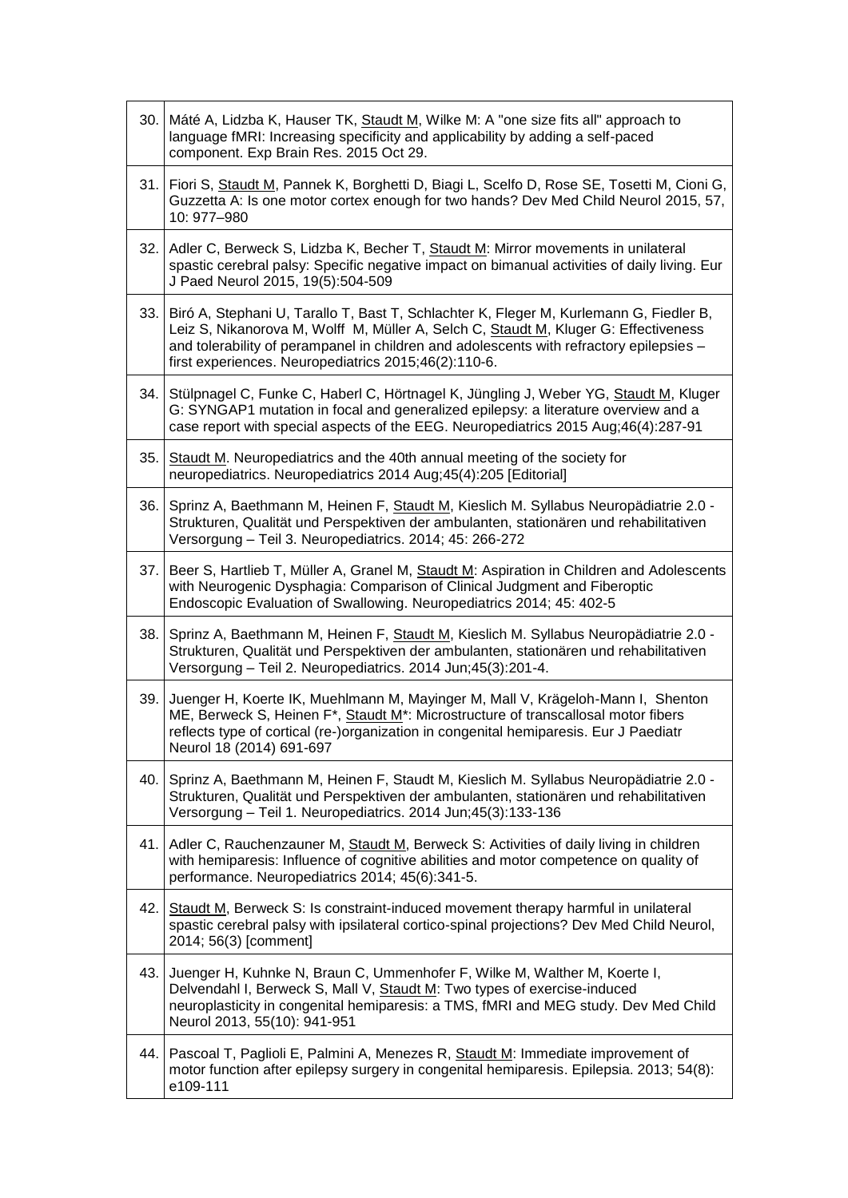| 30. | Máté A, Lidzba K, Hauser TK, Staudt M, Wilke M: A "one size fits all" approach to<br>language fMRI: Increasing specificity and applicability by adding a self-paced<br>component. Exp Brain Res. 2015 Oct 29.                                                                                                                        |
|-----|--------------------------------------------------------------------------------------------------------------------------------------------------------------------------------------------------------------------------------------------------------------------------------------------------------------------------------------|
|     | 31. Fiori S, Staudt M, Pannek K, Borghetti D, Biagi L, Scelfo D, Rose SE, Tosetti M, Cioni G,<br>Guzzetta A: Is one motor cortex enough for two hands? Dev Med Child Neurol 2015, 57,<br>10: 977-980                                                                                                                                 |
|     | 32. Adler C, Berweck S, Lidzba K, Becher T, Staudt M: Mirror movements in unilateral<br>spastic cerebral palsy: Specific negative impact on bimanual activities of daily living. Eur<br>J Paed Neurol 2015, 19(5):504-509                                                                                                            |
|     | 33. Biró A, Stephani U, Tarallo T, Bast T, Schlachter K, Fleger M, Kurlemann G, Fiedler B,<br>Leiz S, Nikanorova M, Wolff M, Müller A, Selch C, Staudt M, Kluger G: Effectiveness<br>and tolerability of perampanel in children and adolescents with refractory epilepsies -<br>first experiences. Neuropediatrics 2015;46(2):110-6. |
| 34. | Stülpnagel C, Funke C, Haberl C, Hörtnagel K, Jüngling J, Weber YG, Staudt M, Kluger<br>G: SYNGAP1 mutation in focal and generalized epilepsy: a literature overview and a<br>case report with special aspects of the EEG. Neuropediatrics 2015 Aug;46(4):287-91                                                                     |
| 35. | Staudt M. Neuropediatrics and the 40th annual meeting of the society for<br>neuropediatrics. Neuropediatrics 2014 Aug; 45(4): 205 [Editorial]                                                                                                                                                                                        |
| 36. | Sprinz A, Baethmann M, Heinen F, Staudt M, Kieslich M. Syllabus Neuropädiatrie 2.0 -<br>Strukturen, Qualität und Perspektiven der ambulanten, stationären und rehabilitativen<br>Versorgung - Teil 3. Neuropediatrics. 2014; 45: 266-272                                                                                             |
| 37. | Beer S, Hartlieb T, Müller A, Granel M, Staudt M: Aspiration in Children and Adolescents<br>with Neurogenic Dysphagia: Comparison of Clinical Judgment and Fiberoptic<br>Endoscopic Evaluation of Swallowing. Neuropediatrics 2014; 45: 402-5                                                                                        |
| 38. | Sprinz A, Baethmann M, Heinen F, Staudt M, Kieslich M. Syllabus Neuropädiatrie 2.0 -<br>Strukturen, Qualität und Perspektiven der ambulanten, stationären und rehabilitativen<br>Versorgung - Teil 2. Neuropediatrics. 2014 Jun;45(3):201-4.                                                                                         |
| 39. | Juenger H, Koerte IK, Muehlmann M, Mayinger M, Mall V, Krägeloh-Mann I, Shenton<br>ME, Berweck S, Heinen F*, Staudt M*: Microstructure of transcallosal motor fibers<br>reflects type of cortical (re-)organization in congenital hemiparesis. Eur J Paediatr<br>Neurol 18 (2014) 691-697                                            |
| 40. | Sprinz A, Baethmann M, Heinen F, Staudt M, Kieslich M. Syllabus Neuropädiatrie 2.0 -<br>Strukturen, Qualität und Perspektiven der ambulanten, stationären und rehabilitativen<br>Versorgung - Teil 1. Neuropediatrics. 2014 Jun; 45(3): 133-136                                                                                      |
| 41. | Adler C, Rauchenzauner M, Staudt M, Berweck S: Activities of daily living in children<br>with hemiparesis: Influence of cognitive abilities and motor competence on quality of<br>performance. Neuropediatrics 2014; 45(6):341-5.                                                                                                    |
| 42. | Staudt M, Berweck S: Is constraint-induced movement therapy harmful in unilateral<br>spastic cerebral palsy with ipsilateral cortico-spinal projections? Dev Med Child Neurol,<br>2014; 56(3) [comment]                                                                                                                              |
| 43. | Juenger H, Kuhnke N, Braun C, Ummenhofer F, Wilke M, Walther M, Koerte I,<br>Delvendahl I, Berweck S, Mall V, Staudt M: Two types of exercise-induced<br>neuroplasticity in congenital hemiparesis: a TMS, fMRI and MEG study. Dev Med Child<br>Neurol 2013, 55(10): 941-951                                                         |
| 44. | Pascoal T, Paglioli E, Palmini A, Menezes R, Staudt M: Immediate improvement of<br>motor function after epilepsy surgery in congenital hemiparesis. Epilepsia. 2013; 54(8):<br>e109-111                                                                                                                                              |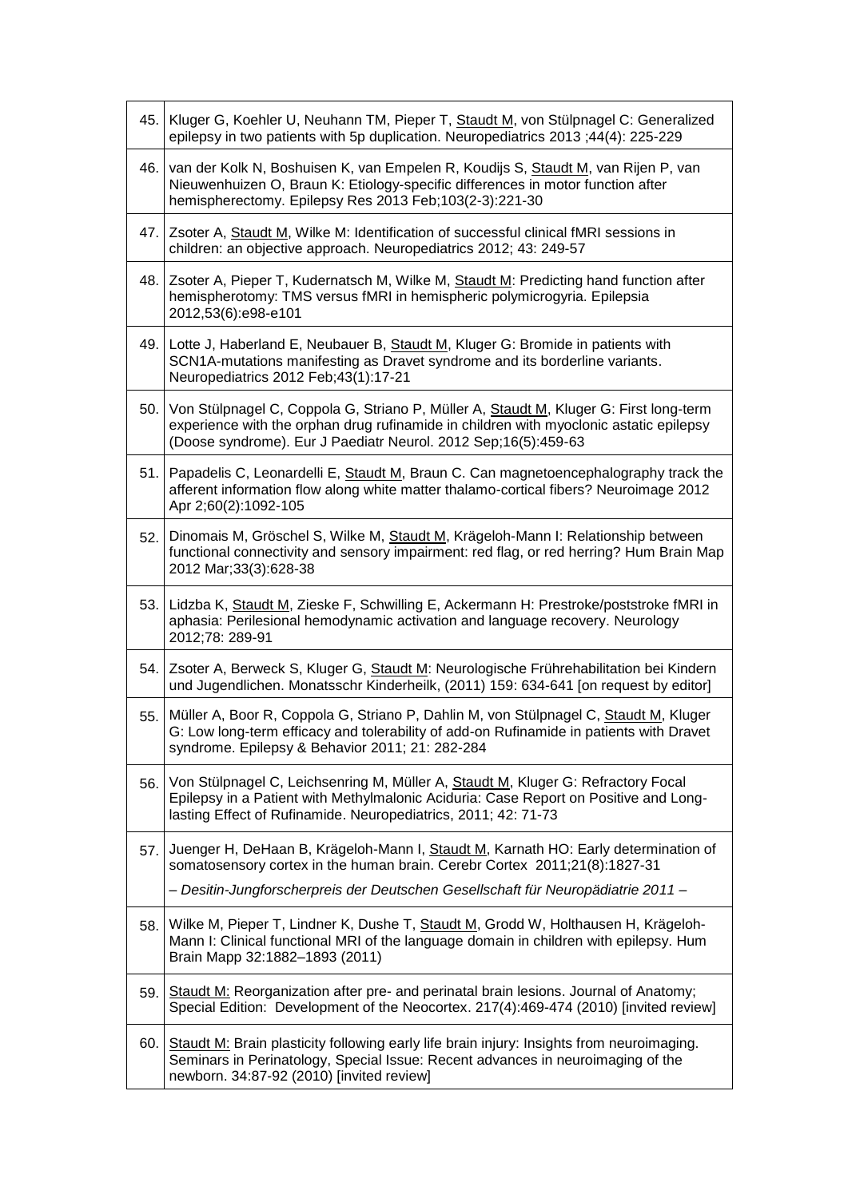|     | 45. Kluger G, Koehler U, Neuhann TM, Pieper T, Staudt M, von Stülpnagel C: Generalized<br>epilepsy in two patients with 5p duplication. Neuropediatrics 2013 ;44(4): 225-229                                                                      |
|-----|---------------------------------------------------------------------------------------------------------------------------------------------------------------------------------------------------------------------------------------------------|
| 46. | van der Kolk N, Boshuisen K, van Empelen R, Koudijs S, Staudt M, van Rijen P, van<br>Nieuwenhuizen O, Braun K: Etiology-specific differences in motor function after<br>hemispherectomy. Epilepsy Res 2013 Feb; 103(2-3): 221-30                  |
| 47. | Zsoter A, Staudt M, Wilke M: Identification of successful clinical fMRI sessions in<br>children: an objective approach. Neuropediatrics 2012; 43: 249-57                                                                                          |
|     | 48. Zsoter A, Pieper T, Kudernatsch M, Wilke M, Staudt M: Predicting hand function after<br>hemispherotomy: TMS versus fMRI in hemispheric polymicrogyria. Epilepsia<br>2012,53(6):e98-e101                                                       |
|     | 49. Lotte J, Haberland E, Neubauer B, Staudt M, Kluger G: Bromide in patients with<br>SCN1A-mutations manifesting as Dravet syndrome and its borderline variants.<br>Neuropediatrics 2012 Feb; 43(1): 17-21                                       |
| 50. | Von Stülpnagel C, Coppola G, Striano P, Müller A, Staudt M, Kluger G: First long-term<br>experience with the orphan drug rufinamide in children with myoclonic astatic epilepsy<br>(Doose syndrome). Eur J Paediatr Neurol. 2012 Sep;16(5):459-63 |
| 51. | Papadelis C, Leonardelli E, Staudt M, Braun C. Can magnetoencephalography track the<br>afferent information flow along white matter thalamo-cortical fibers? Neuroimage 2012<br>Apr 2;60(2):1092-105                                              |
| 52. | Dinomais M, Gröschel S, Wilke M, Staudt M, Krägeloh-Mann I: Relationship between<br>functional connectivity and sensory impairment: red flag, or red herring? Hum Brain Map<br>2012 Mar; 33(3): 628-38                                            |
| 53. | Lidzba K, Staudt M, Zieske F, Schwilling E, Ackermann H: Prestroke/poststroke fMRI in<br>aphasia: Perilesional hemodynamic activation and language recovery. Neurology<br>2012;78: 289-91                                                         |
|     | 54. Zsoter A, Berweck S, Kluger G, Staudt M: Neurologische Frührehabilitation bei Kindern<br>und Jugendlichen. Monatsschr Kinderheilk, (2011) 159: 634-641 [on request by editor]                                                                 |
| 55. | Müller A, Boor R, Coppola G, Striano P, Dahlin M, von Stülpnagel C, Staudt M, Kluger<br>G: Low long-term efficacy and tolerability of add-on Rufinamide in patients with Dravet<br>syndrome. Epilepsy & Behavior 2011; 21: 282-284                |
| 56. | Von Stülpnagel C, Leichsenring M, Müller A, Staudt M, Kluger G: Refractory Focal<br>Epilepsy in a Patient with Methylmalonic Aciduria: Case Report on Positive and Long-<br>lasting Effect of Rufinamide. Neuropediatrics, 2011; 42: 71-73        |
| 57. | Juenger H, DeHaan B, Krägeloh-Mann I, Staudt M, Karnath HO: Early determination of<br>somatosensory cortex in the human brain. Cerebr Cortex 2011;21(8):1827-31                                                                                   |
|     | - Desitin-Jungforscherpreis der Deutschen Gesellschaft für Neuropädiatrie 2011-                                                                                                                                                                   |
| 58. | Wilke M, Pieper T, Lindner K, Dushe T, Staudt M, Grodd W, Holthausen H, Krägeloh-<br>Mann I: Clinical functional MRI of the language domain in children with epilepsy. Hum<br>Brain Mapp 32:1882-1893 (2011)                                      |
| 59. | Staudt M: Reorganization after pre- and perinatal brain lesions. Journal of Anatomy;<br>Special Edition: Development of the Neocortex. 217(4):469-474 (2010) [invited review]                                                                     |
| 60. | Staudt M: Brain plasticity following early life brain injury: Insights from neuroimaging.<br>Seminars in Perinatology, Special Issue: Recent advances in neuroimaging of the<br>newborn. 34:87-92 (2010) [invited review]                         |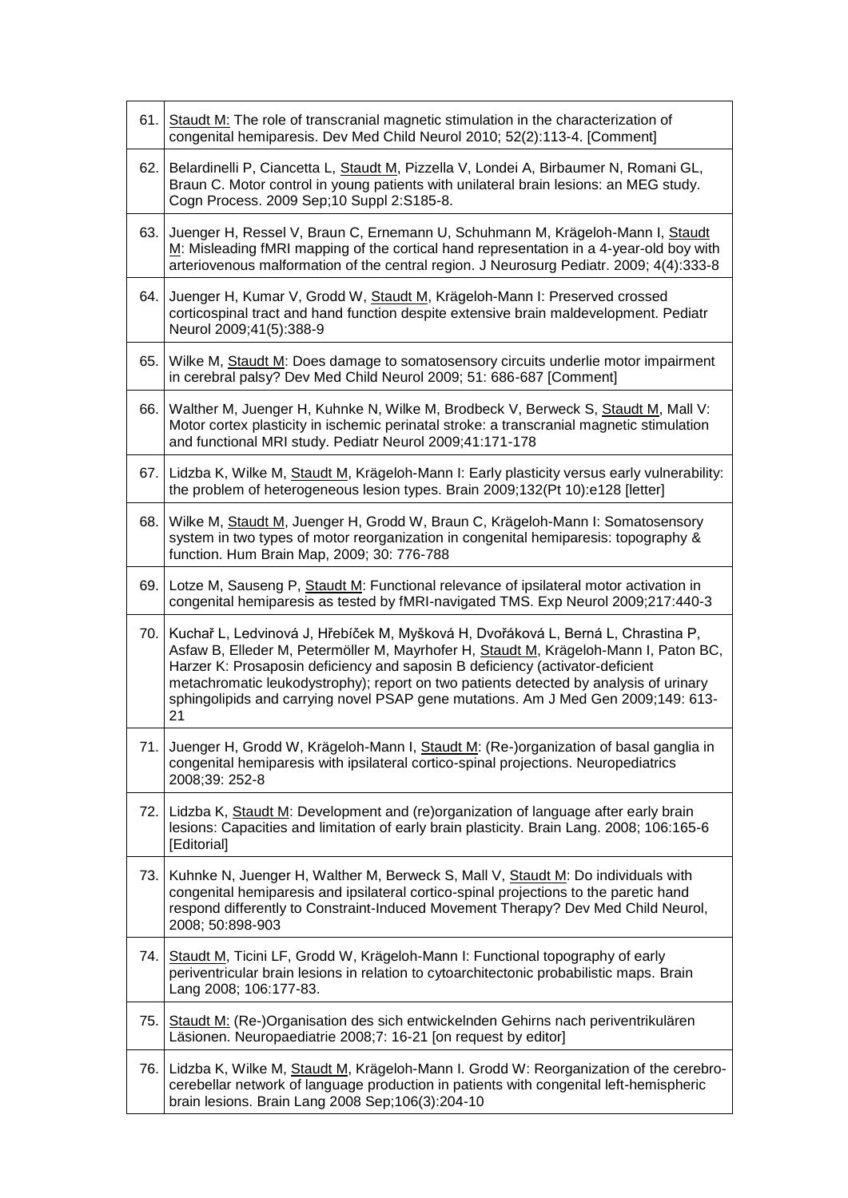| 61. | Staudt M: The role of transcranial magnetic stimulation in the characterization of<br>congenital hemiparesis. Dev Med Child Neurol 2010; 52(2):113-4. [Comment]                                                                                                                                                                                                                                                                                   |
|-----|---------------------------------------------------------------------------------------------------------------------------------------------------------------------------------------------------------------------------------------------------------------------------------------------------------------------------------------------------------------------------------------------------------------------------------------------------|
| 62. | Belardinelli P, Ciancetta L, Staudt M, Pizzella V, Londei A, Birbaumer N, Romani GL,<br>Braun C. Motor control in young patients with unilateral brain lesions: an MEG study.<br>Cogn Process. 2009 Sep;10 Suppl 2:S185-8.                                                                                                                                                                                                                        |
|     | 63. Juenger H, Ressel V, Braun C, Ernemann U, Schuhmann M, Krägeloh-Mann I, Staudt<br>M: Misleading fMRI mapping of the cortical hand representation in a 4-year-old boy with<br>arteriovenous malformation of the central region. J Neurosurg Pediatr. 2009; 4(4):333-8                                                                                                                                                                          |
| 64. | Juenger H, Kumar V, Grodd W, Staudt M, Krägeloh-Mann I: Preserved crossed<br>corticospinal tract and hand function despite extensive brain maldevelopment. Pediatr<br>Neurol 2009;41(5):388-9                                                                                                                                                                                                                                                     |
| 65. | Wilke M, Staudt M: Does damage to somatosensory circuits underlie motor impairment<br>in cerebral palsy? Dev Med Child Neurol 2009; 51: 686-687 [Comment]                                                                                                                                                                                                                                                                                         |
| 66. | Walther M, Juenger H, Kuhnke N, Wilke M, Brodbeck V, Berweck S, Staudt M, Mall V:<br>Motor cortex plasticity in ischemic perinatal stroke: a transcranial magnetic stimulation<br>and functional MRI study. Pediatr Neurol 2009;41:171-178                                                                                                                                                                                                        |
| 67. | Lidzba K, Wilke M, Staudt M, Krägeloh-Mann I: Early plasticity versus early vulnerability:<br>the problem of heterogeneous lesion types. Brain 2009;132(Pt 10):e128 [letter]                                                                                                                                                                                                                                                                      |
| 68. | Wilke M, Staudt M, Juenger H, Grodd W, Braun C, Krägeloh-Mann I: Somatosensory<br>system in two types of motor reorganization in congenital hemiparesis: topography &<br>function. Hum Brain Map, 2009; 30: 776-788                                                                                                                                                                                                                               |
| 69. | Lotze M, Sauseng P, Staudt M: Functional relevance of ipsilateral motor activation in<br>congenital hemiparesis as tested by fMRI-navigated TMS. Exp Neurol 2009;217:440-3                                                                                                                                                                                                                                                                        |
|     | 70. Kuchař L, Ledvinová J, Hřebíček M, Myšková H, Dvořáková L, Berná L, Chrastina P,<br>Asfaw B, Elleder M, Petermöller M, Mayrhofer H, Staudt M, Krägeloh-Mann I, Paton BC,<br>Harzer K: Prosaposin deficiency and saposin B deficiency (activator-deficient<br>metachromatic leukodystrophy); report on two patients detected by analysis of urinary<br>sphingolipids and carrying novel PSAP gene mutations. Am J Med Gen 2009;149: 613-<br>21 |
|     | 71. Juenger H, Grodd W, Krägeloh-Mann I, Staudt M: (Re-)organization of basal ganglia in<br>congenital hemiparesis with ipsilateral cortico-spinal projections. Neuropediatrics<br>2008;39: 252-8                                                                                                                                                                                                                                                 |
|     | 72. Lidzba K, Staudt M: Development and (re)organization of language after early brain<br>lesions: Capacities and limitation of early brain plasticity. Brain Lang. 2008; 106:165-6<br>[Editorial]                                                                                                                                                                                                                                                |
| 73. | Kuhnke N, Juenger H, Walther M, Berweck S, Mall V, Staudt M: Do individuals with<br>congenital hemiparesis and ipsilateral cortico-spinal projections to the paretic hand<br>respond differently to Constraint-Induced Movement Therapy? Dev Med Child Neurol,<br>2008; 50:898-903                                                                                                                                                                |
|     | 74. Staudt M, Ticini LF, Grodd W, Krägeloh-Mann I: Functional topography of early<br>periventricular brain lesions in relation to cytoarchitectonic probabilistic maps. Brain<br>Lang 2008; 106:177-83.                                                                                                                                                                                                                                           |
|     | 75. Staudt M: (Re-)Organisation des sich entwickelnden Gehirns nach periventrikulären<br>Läsionen. Neuropaediatrie 2008;7: 16-21 [on request by editor]                                                                                                                                                                                                                                                                                           |
|     | 76. Lidzba K, Wilke M, Staudt M, Krägeloh-Mann I. Grodd W: Reorganization of the cerebro-<br>cerebellar network of language production in patients with congenital left-hemispheric<br>brain lesions. Brain Lang 2008 Sep;106(3):204-10                                                                                                                                                                                                           |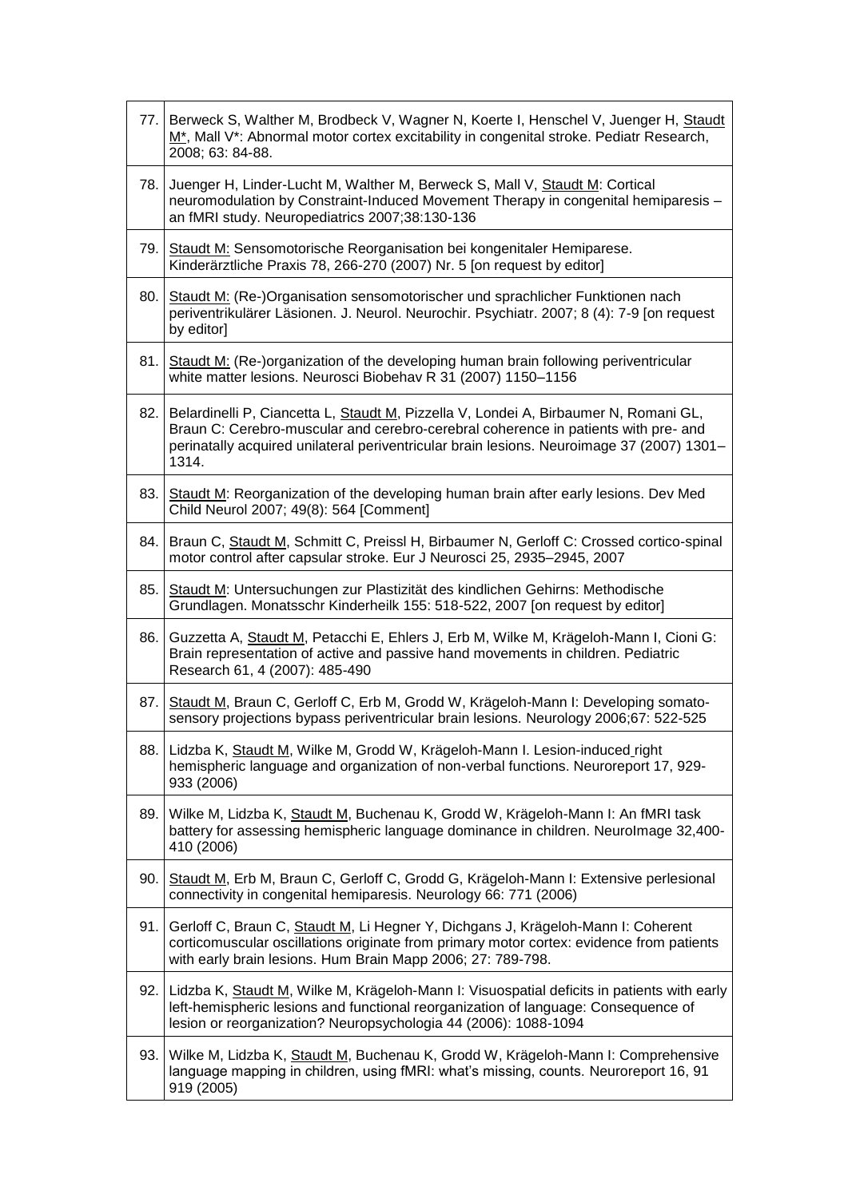|     | 77. Berweck S, Walther M, Brodbeck V, Wagner N, Koerte I, Henschel V, Juenger H, Staudt<br>M <sup>*</sup> , Mall V <sup>*</sup> : Abnormal motor cortex excitability in congenital stroke. Pediatr Research,<br>2008; 63: 84-88.                                                 |
|-----|----------------------------------------------------------------------------------------------------------------------------------------------------------------------------------------------------------------------------------------------------------------------------------|
| 78. | Juenger H, Linder-Lucht M, Walther M, Berweck S, Mall V, Staudt M: Cortical<br>neuromodulation by Constraint-Induced Movement Therapy in congenital hemiparesis -<br>an fMRI study. Neuropediatrics 2007;38:130-136                                                              |
| 79. | Staudt M: Sensomotorische Reorganisation bei kongenitaler Hemiparese.<br>Kinderärztliche Praxis 78, 266-270 (2007) Nr. 5 [on request by editor]                                                                                                                                  |
| 80. | Staudt M: (Re-)Organisation sensomotorischer und sprachlicher Funktionen nach<br>periventrikulärer Läsionen. J. Neurol. Neurochir. Psychiatr. 2007; 8 (4): 7-9 [on request<br>by editor]                                                                                         |
| 81. | Staudt M: (Re-)organization of the developing human brain following periventricular<br>white matter lesions. Neurosci Biobehav R 31 (2007) 1150-1156                                                                                                                             |
| 82. | Belardinelli P, Ciancetta L, Staudt M, Pizzella V, Londei A, Birbaumer N, Romani GL,<br>Braun C: Cerebro-muscular and cerebro-cerebral coherence in patients with pre- and<br>perinatally acquired unilateral periventricular brain lesions. Neuroimage 37 (2007) 1301-<br>1314. |
| 83. | Staudt M: Reorganization of the developing human brain after early lesions. Dev Med<br>Child Neurol 2007; 49(8): 564 [Comment]                                                                                                                                                   |
| 84. | Braun C, Staudt M, Schmitt C, Preissl H, Birbaumer N, Gerloff C: Crossed cortico-spinal<br>motor control after capsular stroke. Eur J Neurosci 25, 2935-2945, 2007                                                                                                               |
| 85. | Staudt M: Untersuchungen zur Plastizität des kindlichen Gehirns: Methodische<br>Grundlagen. Monatsschr Kinderheilk 155: 518-522, 2007 [on request by editor]                                                                                                                     |
| 86. | Guzzetta A, Staudt M, Petacchi E, Ehlers J, Erb M, Wilke M, Krägeloh-Mann I, Cioni G:<br>Brain representation of active and passive hand movements in children. Pediatric<br>Research 61, 4 (2007): 485-490                                                                      |
| 87. | Staudt M, Braun C, Gerloff C, Erb M, Grodd W, Krägeloh-Mann I: Developing somato-<br>sensory projections bypass periventricular brain lesions. Neurology 2006;67: 522-525                                                                                                        |
|     | 88. Lidzba K, Staudt M, Wilke M, Grodd W, Krägeloh-Mann I. Lesion-induced_right<br>hemispheric language and organization of non-verbal functions. Neuroreport 17, 929-<br>933 (2006)                                                                                             |
| 89. | Wilke M, Lidzba K, Staudt M, Buchenau K, Grodd W, Krägeloh-Mann I: An fMRI task<br>battery for assessing hemispheric language dominance in children. Neurolmage 32,400-<br>410 (2006)                                                                                            |
| 90. | Staudt M, Erb M, Braun C, Gerloff C, Grodd G, Krägeloh-Mann I: Extensive perlesional<br>connectivity in congenital hemiparesis. Neurology 66: 771 (2006)                                                                                                                         |
| 91. | Gerloff C, Braun C, Staudt M, Li Hegner Y, Dichgans J, Krägeloh-Mann I: Coherent<br>corticomuscular oscillations originate from primary motor cortex: evidence from patients<br>with early brain lesions. Hum Brain Mapp 2006; 27: 789-798.                                      |
|     | 92. Lidzba K, Staudt M, Wilke M, Krägeloh-Mann I: Visuospatial deficits in patients with early<br>left-hemispheric lesions and functional reorganization of language: Consequence of<br>lesion or reorganization? Neuropsychologia 44 (2006): 1088-1094                          |
|     | 93. Wilke M, Lidzba K, Staudt M, Buchenau K, Grodd W, Krägeloh-Mann I: Comprehensive<br>language mapping in children, using fMRI: what's missing, counts. Neuroreport 16, 91<br>919 (2005)                                                                                       |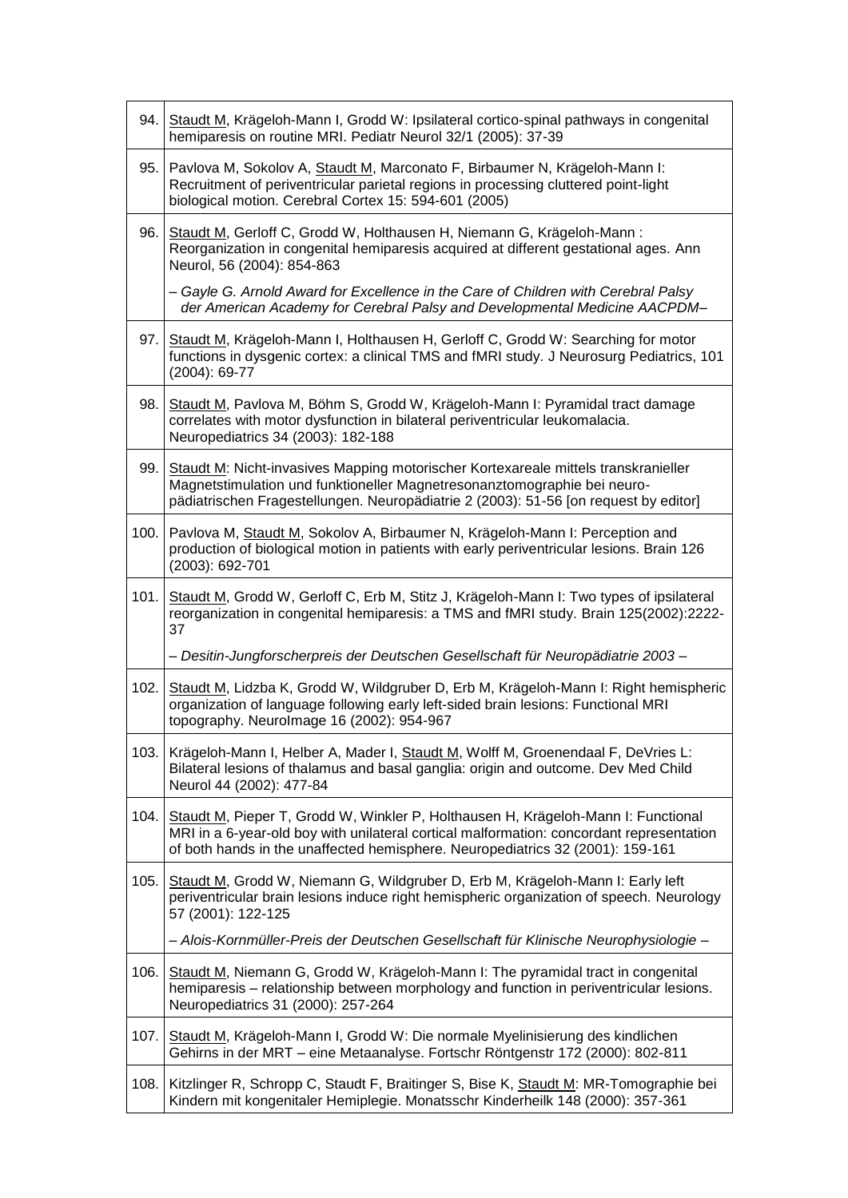|      | 94. Staudt M, Krägeloh-Mann I, Grodd W: Ipsilateral cortico-spinal pathways in congenital<br>hemiparesis on routine MRI. Pediatr Neurol 32/1 (2005): 37-39                                                                                                           |
|------|----------------------------------------------------------------------------------------------------------------------------------------------------------------------------------------------------------------------------------------------------------------------|
| 95.  | Pavlova M, Sokolov A, Staudt M, Marconato F, Birbaumer N, Krägeloh-Mann I:<br>Recruitment of periventricular parietal regions in processing cluttered point-light<br>biological motion. Cerebral Cortex 15: 594-601 (2005)                                           |
| 96.  | Staudt M, Gerloff C, Grodd W, Holthausen H, Niemann G, Krägeloh-Mann:<br>Reorganization in congenital hemiparesis acquired at different gestational ages. Ann<br>Neurol, 56 (2004): 854-863                                                                          |
|      | - Gayle G. Arnold Award for Excellence in the Care of Children with Cerebral Palsy<br>der American Academy for Cerebral Palsy and Developmental Medicine AACPDM-                                                                                                     |
| 97.  | Staudt M, Krägeloh-Mann I, Holthausen H, Gerloff C, Grodd W: Searching for motor<br>functions in dysgenic cortex: a clinical TMS and fMRI study. J Neurosurg Pediatrics, 101<br>$(2004): 69-77$                                                                      |
| 98.  | Staudt M, Pavlova M, Böhm S, Grodd W, Krägeloh-Mann I: Pyramidal tract damage<br>correlates with motor dysfunction in bilateral periventricular leukomalacia.<br>Neuropediatrics 34 (2003): 182-188                                                                  |
| 99.  | Staudt M: Nicht-invasives Mapping motorischer Kortexareale mittels transkranieller<br>Magnetstimulation und funktioneller Magnetresonanztomographie bei neuro-<br>pädiatrischen Fragestellungen. Neuropädiatrie 2 (2003): 51-56 [on request by editor]               |
|      | 100. Pavlova M, Staudt M, Sokolov A, Birbaumer N, Krägeloh-Mann I: Perception and<br>production of biological motion in patients with early periventricular lesions. Brain 126<br>(2003): 692-701                                                                    |
| 101. | Staudt M, Grodd W, Gerloff C, Erb M, Stitz J, Krägeloh-Mann I: Two types of ipsilateral<br>reorganization in congenital hemiparesis: a TMS and fMRI study. Brain 125(2002):2222-<br>37                                                                               |
|      | - Desitin-Jungforscherpreis der Deutschen Gesellschaft für Neuropädiatrie 2003-                                                                                                                                                                                      |
| 102. | Staudt M, Lidzba K, Grodd W, Wildgruber D, Erb M, Krägeloh-Mann I: Right hemispheric<br>organization of language following early left-sided brain lesions: Functional MRI<br>topography. Neurolmage 16 (2002): 954-967                                               |
| 103. | Krägeloh-Mann I, Helber A, Mader I, Staudt M, Wolff M, Groenendaal F, DeVries L:<br>Bilateral lesions of thalamus and basal ganglia: origin and outcome. Dev Med Child<br>Neurol 44 (2002): 477-84                                                                   |
|      | 104. Staudt M, Pieper T, Grodd W, Winkler P, Holthausen H, Krägeloh-Mann I: Functional<br>MRI in a 6-year-old boy with unilateral cortical malformation: concordant representation<br>of both hands in the unaffected hemisphere. Neuropediatrics 32 (2001): 159-161 |
| 105. | Staudt M, Grodd W, Niemann G, Wildgruber D, Erb M, Krägeloh-Mann I: Early left<br>periventricular brain lesions induce right hemispheric organization of speech. Neurology<br>57 (2001): 122-125                                                                     |
|      | - Alois-Kornmüller-Preis der Deutschen Gesellschaft für Klinische Neurophysiologie -                                                                                                                                                                                 |
| 106. | Staudt M, Niemann G, Grodd W, Krägeloh-Mann I: The pyramidal tract in congenital<br>hemiparesis - relationship between morphology and function in periventricular lesions.<br>Neuropediatrics 31 (2000): 257-264                                                     |
| 107. | Staudt M, Krägeloh-Mann I, Grodd W: Die normale Myelinisierung des kindlichen<br>Gehirns in der MRT - eine Metaanalyse. Fortschr Röntgenstr 172 (2000): 802-811                                                                                                      |
| 108. | Kitzlinger R, Schropp C, Staudt F, Braitinger S, Bise K, Staudt M: MR-Tomographie bei<br>Kindern mit kongenitaler Hemiplegie. Monatsschr Kinderheilk 148 (2000): 357-361                                                                                             |